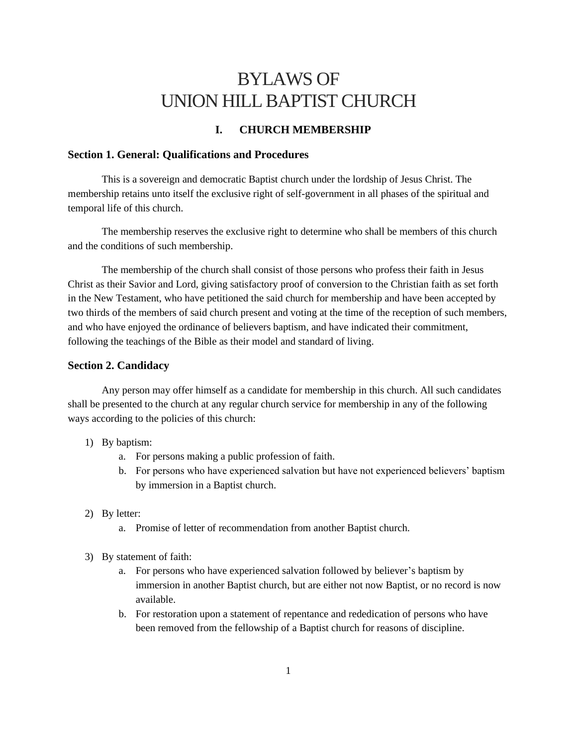# BYLAWS OF UNION HILL BAPTIST CHURCH

# **I. CHURCH MEMBERSHIP**

## **Section 1. General: Qualifications and Procedures**

This is a sovereign and democratic Baptist church under the lordship of Jesus Christ. The membership retains unto itself the exclusive right of self-government in all phases of the spiritual and temporal life of this church.

The membership reserves the exclusive right to determine who shall be members of this church and the conditions of such membership.

The membership of the church shall consist of those persons who profess their faith in Jesus Christ as their Savior and Lord, giving satisfactory proof of conversion to the Christian faith as set forth in the New Testament, who have petitioned the said church for membership and have been accepted by two thirds of the members of said church present and voting at the time of the reception of such members, and who have enjoyed the ordinance of believers baptism, and have indicated their commitment, following the teachings of the Bible as their model and standard of living.

#### **Section 2. Candidacy**

Any person may offer himself as a candidate for membership in this church. All such candidates shall be presented to the church at any regular church service for membership in any of the following ways according to the policies of this church:

#### 1) By baptism:

- a. For persons making a public profession of faith.
- b. For persons who have experienced salvation but have not experienced believers' baptism by immersion in a Baptist church.
- 2) By letter:
	- a. Promise of letter of recommendation from another Baptist church.
- 3) By statement of faith:
	- a. For persons who have experienced salvation followed by believer's baptism by immersion in another Baptist church, but are either not now Baptist, or no record is now available.
	- b. For restoration upon a statement of repentance and rededication of persons who have been removed from the fellowship of a Baptist church for reasons of discipline.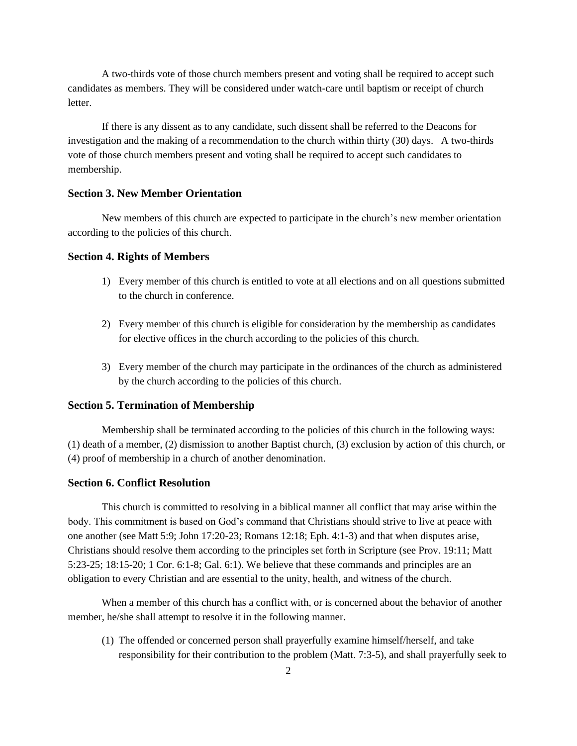A two-thirds vote of those church members present and voting shall be required to accept such candidates as members. They will be considered under watch-care until baptism or receipt of church **letter** 

If there is any dissent as to any candidate, such dissent shall be referred to the Deacons for investigation and the making of a recommendation to the church within thirty (30) days. A two-thirds vote of those church members present and voting shall be required to accept such candidates to membership.

# **Section 3. New Member Orientation**

New members of this church are expected to participate in the church's new member orientation according to the policies of this church.

# **Section 4. Rights of Members**

- 1) Every member of this church is entitled to vote at all elections and on all questions submitted to the church in conference.
- 2) Every member of this church is eligible for consideration by the membership as candidates for elective offices in the church according to the policies of this church.
- 3) Every member of the church may participate in the ordinances of the church as administered by the church according to the policies of this church.

## **Section 5. Termination of Membership**

Membership shall be terminated according to the policies of this church in the following ways: (1) death of a member, (2) dismission to another Baptist church, (3) exclusion by action of this church, or (4) proof of membership in a church of another denomination.

# **Section 6. Conflict Resolution**

This church is committed to resolving in a biblical manner all conflict that may arise within the body. This commitment is based on God's command that Christians should strive to live at peace with one another (see Matt 5:9; John 17:20-23; Romans 12:18; Eph. 4:1-3) and that when disputes arise, Christians should resolve them according to the principles set forth in Scripture (see Prov. 19:11; Matt 5:23-25; 18:15-20; 1 Cor. 6:1-8; Gal. 6:1). We believe that these commands and principles are an obligation to every Christian and are essential to the unity, health, and witness of the church.

When a member of this church has a conflict with, or is concerned about the behavior of another member, he/she shall attempt to resolve it in the following manner.

(1) The offended or concerned person shall prayerfully examine himself/herself, and take responsibility for their contribution to the problem (Matt. 7:3-5), and shall prayerfully seek to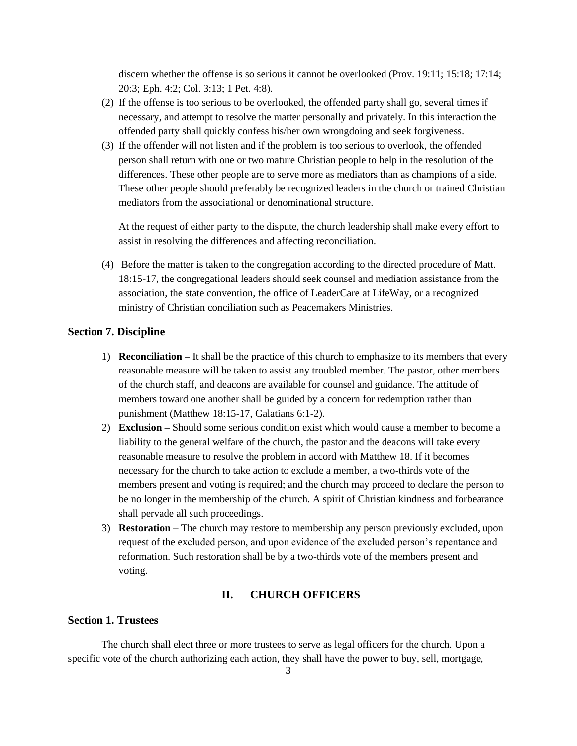discern whether the offense is so serious it cannot be overlooked (Prov. 19:11; 15:18; 17:14; 20:3; Eph. 4:2; Col. 3:13; 1 Pet. 4:8).

- (2) If the offense is too serious to be overlooked, the offended party shall go, several times if necessary, and attempt to resolve the matter personally and privately. In this interaction the offended party shall quickly confess his/her own wrongdoing and seek forgiveness.
- (3) If the offender will not listen and if the problem is too serious to overlook, the offended person shall return with one or two mature Christian people to help in the resolution of the differences. These other people are to serve more as mediators than as champions of a side. These other people should preferably be recognized leaders in the church or trained Christian mediators from the associational or denominational structure.

At the request of either party to the dispute, the church leadership shall make every effort to assist in resolving the differences and affecting reconciliation.

(4) Before the matter is taken to the congregation according to the directed procedure of Matt. 18:15-17, the congregational leaders should seek counsel and mediation assistance from the association, the state convention, the office of LeaderCare at LifeWay, or a recognized ministry of Christian conciliation such as Peacemakers Ministries.

# **Section 7. Discipline**

- 1) **Reconciliation –** It shall be the practice of this church to emphasize to its members that every reasonable measure will be taken to assist any troubled member. The pastor, other members of the church staff, and deacons are available for counsel and guidance. The attitude of members toward one another shall be guided by a concern for redemption rather than punishment (Matthew 18:15-17, Galatians 6:1-2).
- 2) **Exclusion –** Should some serious condition exist which would cause a member to become a liability to the general welfare of the church, the pastor and the deacons will take every reasonable measure to resolve the problem in accord with Matthew 18. If it becomes necessary for the church to take action to exclude a member, a two-thirds vote of the members present and voting is required; and the church may proceed to declare the person to be no longer in the membership of the church. A spirit of Christian kindness and forbearance shall pervade all such proceedings.
- 3) **Restoration –** The church may restore to membership any person previously excluded, upon request of the excluded person, and upon evidence of the excluded person's repentance and reformation. Such restoration shall be by a two-thirds vote of the members present and voting.

#### **II. CHURCH OFFICERS**

#### **Section 1. Trustees**

The church shall elect three or more trustees to serve as legal officers for the church. Upon a specific vote of the church authorizing each action, they shall have the power to buy, sell, mortgage,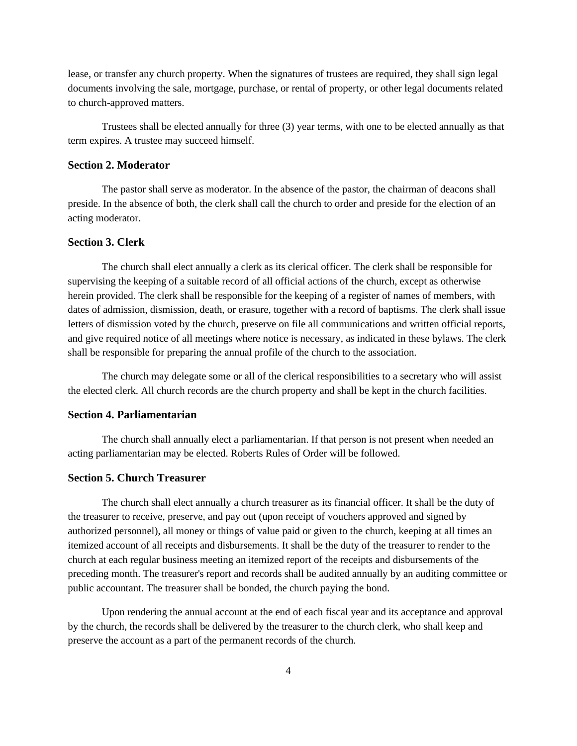lease, or transfer any church property. When the signatures of trustees are required, they shall sign legal documents involving the sale, mortgage, purchase, or rental of property, or other legal documents related to church-approved matters.

Trustees shall be elected annually for three (3) year terms, with one to be elected annually as that term expires. A trustee may succeed himself.

# **Section 2. Moderator**

The pastor shall serve as moderator. In the absence of the pastor, the chairman of deacons shall preside. In the absence of both, the clerk shall call the church to order and preside for the election of an acting moderator.

## **Section 3. Clerk**

The church shall elect annually a clerk as its clerical officer. The clerk shall be responsible for supervising the keeping of a suitable record of all official actions of the church, except as otherwise herein provided. The clerk shall be responsible for the keeping of a register of names of members, with dates of admission, dismission, death, or erasure, together with a record of baptisms. The clerk shall issue letters of dismission voted by the church, preserve on file all communications and written official reports, and give required notice of all meetings where notice is necessary, as indicated in these bylaws. The clerk shall be responsible for preparing the annual profile of the church to the association.

The church may delegate some or all of the clerical responsibilities to a secretary who will assist the elected clerk. All church records are the church property and shall be kept in the church facilities.

## **Section 4. Parliamentarian**

The church shall annually elect a parliamentarian. If that person is not present when needed an acting parliamentarian may be elected. Roberts Rules of Order will be followed.

#### **Section 5. Church Treasurer**

The church shall elect annually a church treasurer as its financial officer. It shall be the duty of the treasurer to receive, preserve, and pay out (upon receipt of vouchers approved and signed by authorized personnel), all money or things of value paid or given to the church, keeping at all times an itemized account of all receipts and disbursements. It shall be the duty of the treasurer to render to the church at each regular business meeting an itemized report of the receipts and disbursements of the preceding month. The treasurer's report and records shall be audited annually by an auditing committee or public accountant. The treasurer shall be bonded, the church paying the bond.

Upon rendering the annual account at the end of each fiscal year and its acceptance and approval by the church, the records shall be delivered by the treasurer to the church clerk, who shall keep and preserve the account as a part of the permanent records of the church.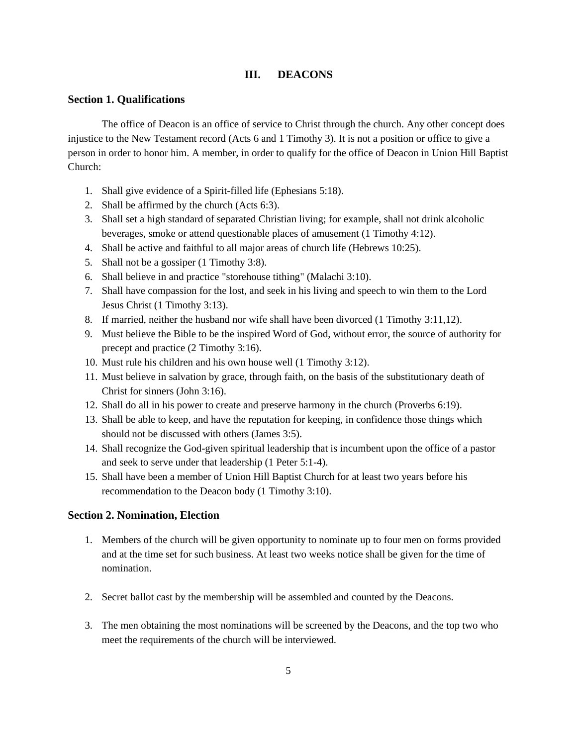# **III. DEACONS**

## **Section 1. Qualifications**

The office of Deacon is an office of service to Christ through the church. Any other concept does injustice to the New Testament record (Acts 6 and 1 Timothy 3). It is not a position or office to give a person in order to honor him. A member, in order to qualify for the office of Deacon in Union Hill Baptist Church:

- 1. Shall give evidence of a Spirit-filled life (Ephesians 5:18).
- 2. Shall be affirmed by the church (Acts 6:3).
- 3. Shall set a high standard of separated Christian living; for example, shall not drink alcoholic beverages, smoke or attend questionable places of amusement (1 Timothy 4:12).
- 4. Shall be active and faithful to all major areas of church life (Hebrews 10:25).
- 5. Shall not be a gossiper (1 Timothy 3:8).
- 6. Shall believe in and practice "storehouse tithing" (Malachi 3:10).
- 7. Shall have compassion for the lost, and seek in his living and speech to win them to the Lord Jesus Christ (1 Timothy 3:13).
- 8. If married, neither the husband nor wife shall have been divorced (1 Timothy 3:11,12).
- 9. Must believe the Bible to be the inspired Word of God, without error, the source of authority for precept and practice (2 Timothy 3:16).
- 10. Must rule his children and his own house well (1 Timothy 3:12).
- 11. Must believe in salvation by grace, through faith, on the basis of the substitutionary death of Christ for sinners (John 3:16).
- 12. Shall do all in his power to create and preserve harmony in the church (Proverbs 6:19).
- 13. Shall be able to keep, and have the reputation for keeping, in confidence those things which should not be discussed with others (James 3:5).
- 14. Shall recognize the God-given spiritual leadership that is incumbent upon the office of a pastor and seek to serve under that leadership (1 Peter 5:1-4).
- 15. Shall have been a member of Union Hill Baptist Church for at least two years before his recommendation to the Deacon body (1 Timothy 3:10).

# **Section 2. Nomination, Election**

- 1. Members of the church will be given opportunity to nominate up to four men on forms provided and at the time set for such business. At least two weeks notice shall be given for the time of nomination.
- 2. Secret ballot cast by the membership will be assembled and counted by the Deacons.
- 3. The men obtaining the most nominations will be screened by the Deacons, and the top two who meet the requirements of the church will be interviewed.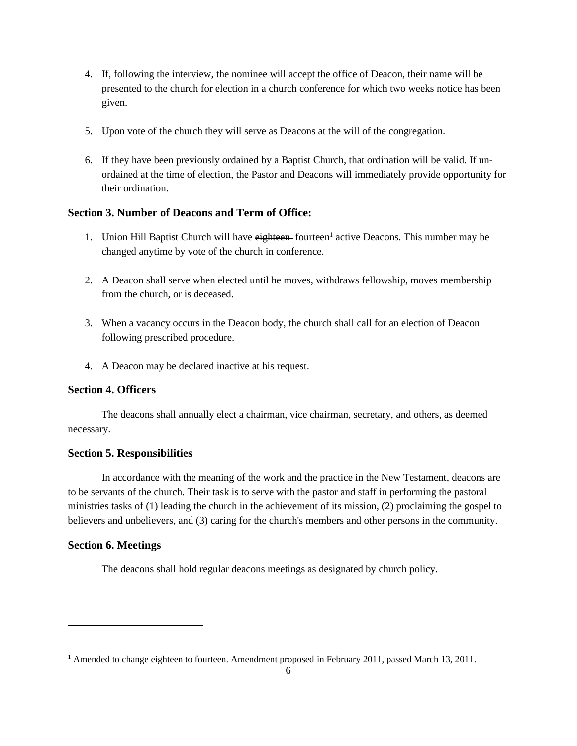- 4. If, following the interview, the nominee will accept the office of Deacon, their name will be presented to the church for election in a church conference for which two weeks notice has been given.
- 5. Upon vote of the church they will serve as Deacons at the will of the congregation.
- 6. If they have been previously ordained by a Baptist Church, that ordination will be valid. If unordained at the time of election, the Pastor and Deacons will immediately provide opportunity for their ordination.

# **Section 3. Number of Deacons and Term of Office:**

- 1. Union Hill Baptist Church will have eighteen fourteen<sup>1</sup> active Deacons. This number may be changed anytime by vote of the church in conference.
- 2. A Deacon shall serve when elected until he moves, withdraws fellowship, moves membership from the church, or is deceased.
- 3. When a vacancy occurs in the Deacon body, the church shall call for an election of Deacon following prescribed procedure.
- 4. A Deacon may be declared inactive at his request.

# **Section 4. Officers**

The deacons shall annually elect a chairman, vice chairman, secretary, and others, as deemed necessary.

# **Section 5. Responsibilities**

In accordance with the meaning of the work and the practice in the New Testament, deacons are to be servants of the church. Their task is to serve with the pastor and staff in performing the pastoral ministries tasks of (1) leading the church in the achievement of its mission, (2) proclaiming the gospel to believers and unbelievers, and (3) caring for the church's members and other persons in the community.

# **Section 6. Meetings**

The deacons shall hold regular deacons meetings as designated by church policy.

<sup>&</sup>lt;sup>1</sup> Amended to change eighteen to fourteen. Amendment proposed in February 2011, passed March 13, 2011.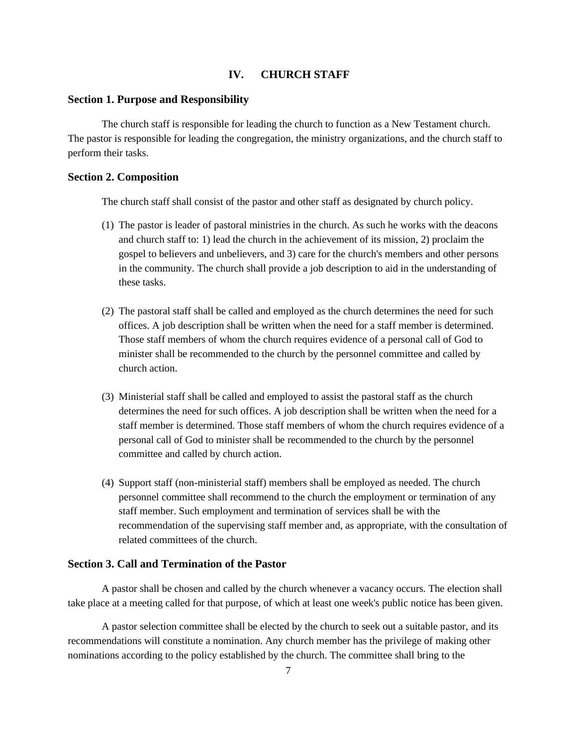# **IV. CHURCH STAFF**

#### **Section 1. Purpose and Responsibility**

The church staff is responsible for leading the church to function as a New Testament church. The pastor is responsible for leading the congregation, the ministry organizations, and the church staff to perform their tasks.

#### **Section 2. Composition**

The church staff shall consist of the pastor and other staff as designated by church policy.

- (1) The pastor is leader of pastoral ministries in the church. As such he works with the deacons and church staff to: 1) lead the church in the achievement of its mission, 2) proclaim the gospel to believers and unbelievers, and 3) care for the church's members and other persons in the community. The church shall provide a job description to aid in the understanding of these tasks.
- (2) The pastoral staff shall be called and employed as the church determines the need for such offices. A job description shall be written when the need for a staff member is determined. Those staff members of whom the church requires evidence of a personal call of God to minister shall be recommended to the church by the personnel committee and called by church action.
- (3) Ministerial staff shall be called and employed to assist the pastoral staff as the church determines the need for such offices. A job description shall be written when the need for a staff member is determined. Those staff members of whom the church requires evidence of a personal call of God to minister shall be recommended to the church by the personnel committee and called by church action.
- (4) Support staff (non-ministerial staff) members shall be employed as needed. The church personnel committee shall recommend to the church the employment or termination of any staff member. Such employment and termination of services shall be with the recommendation of the supervising staff member and, as appropriate, with the consultation of related committees of the church.

# **Section 3. Call and Termination of the Pastor**

A pastor shall be chosen and called by the church whenever a vacancy occurs. The election shall take place at a meeting called for that purpose, of which at least one week's public notice has been given.

A pastor selection committee shall be elected by the church to seek out a suitable pastor, and its recommendations will constitute a nomination. Any church member has the privilege of making other nominations according to the policy established by the church. The committee shall bring to the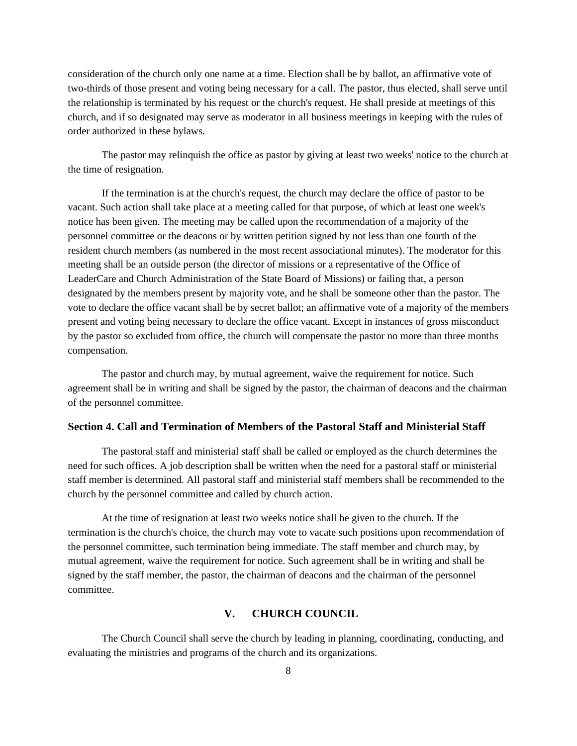consideration of the church only one name at a time. Election shall be by ballot, an affirmative vote of two-thirds of those present and voting being necessary for a call. The pastor, thus elected, shall serve until the relationship is terminated by his request or the church's request. He shall preside at meetings of this church, and if so designated may serve as moderator in all business meetings in keeping with the rules of order authorized in these bylaws.

The pastor may relinquish the office as pastor by giving at least two weeks' notice to the church at the time of resignation.

If the termination is at the church's request, the church may declare the office of pastor to be vacant. Such action shall take place at a meeting called for that purpose, of which at least one week's notice has been given. The meeting may be called upon the recommendation of a majority of the personnel committee or the deacons or by written petition signed by not less than one fourth of the resident church members (as numbered in the most recent associational minutes). The moderator for this meeting shall be an outside person (the director of missions or a representative of the Office of LeaderCare and Church Administration of the State Board of Missions) or failing that, a person designated by the members present by majority vote, and he shall be someone other than the pastor. The vote to declare the office vacant shall be by secret ballot; an affirmative vote of a majority of the members present and voting being necessary to declare the office vacant. Except in instances of gross misconduct by the pastor so excluded from office, the church will compensate the pastor no more than three months compensation.

The pastor and church may, by mutual agreement, waive the requirement for notice. Such agreement shall be in writing and shall be signed by the pastor, the chairman of deacons and the chairman of the personnel committee.

# **Section 4. Call and Termination of Members of the Pastoral Staff and Ministerial Staff**

The pastoral staff and ministerial staff shall be called or employed as the church determines the need for such offices. A job description shall be written when the need for a pastoral staff or ministerial staff member is determined. All pastoral staff and ministerial staff members shall be recommended to the church by the personnel committee and called by church action.

At the time of resignation at least two weeks notice shall be given to the church. If the termination is the church's choice, the church may vote to vacate such positions upon recommendation of the personnel committee, such termination being immediate. The staff member and church may, by mutual agreement, waive the requirement for notice. Such agreement shall be in writing and shall be signed by the staff member, the pastor, the chairman of deacons and the chairman of the personnel committee.

# **V. CHURCH COUNCIL**

The Church Council shall serve the church by leading in planning, coordinating, conducting, and evaluating the ministries and programs of the church and its organizations.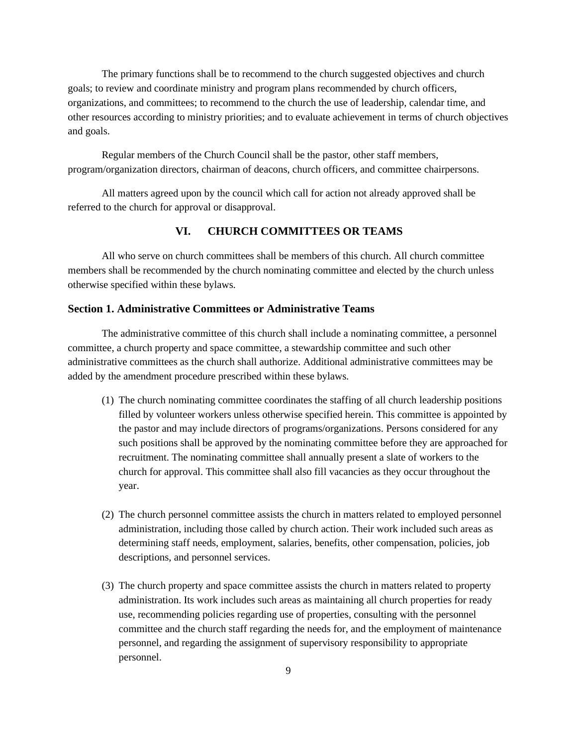The primary functions shall be to recommend to the church suggested objectives and church goals; to review and coordinate ministry and program plans recommended by church officers, organizations, and committees; to recommend to the church the use of leadership, calendar time, and other resources according to ministry priorities; and to evaluate achievement in terms of church objectives and goals.

Regular members of the Church Council shall be the pastor, other staff members, program/organization directors, chairman of deacons, church officers, and committee chairpersons.

All matters agreed upon by the council which call for action not already approved shall be referred to the church for approval or disapproval.

# **VI. CHURCH COMMITTEES OR TEAMS**

All who serve on church committees shall be members of this church. All church committee members shall be recommended by the church nominating committee and elected by the church unless otherwise specified within these bylaws.

# **Section 1. Administrative Committees or Administrative Teams**

The administrative committee of this church shall include a nominating committee, a personnel committee, a church property and space committee, a stewardship committee and such other administrative committees as the church shall authorize. Additional administrative committees may be added by the amendment procedure prescribed within these bylaws.

- (1) The church nominating committee coordinates the staffing of all church leadership positions filled by volunteer workers unless otherwise specified herein. This committee is appointed by the pastor and may include directors of programs/organizations. Persons considered for any such positions shall be approved by the nominating committee before they are approached for recruitment. The nominating committee shall annually present a slate of workers to the church for approval. This committee shall also fill vacancies as they occur throughout the year.
- (2) The church personnel committee assists the church in matters related to employed personnel administration, including those called by church action. Their work included such areas as determining staff needs, employment, salaries, benefits, other compensation, policies, job descriptions, and personnel services.
- (3) The church property and space committee assists the church in matters related to property administration. Its work includes such areas as maintaining all church properties for ready use, recommending policies regarding use of properties, consulting with the personnel committee and the church staff regarding the needs for, and the employment of maintenance personnel, and regarding the assignment of supervisory responsibility to appropriate personnel.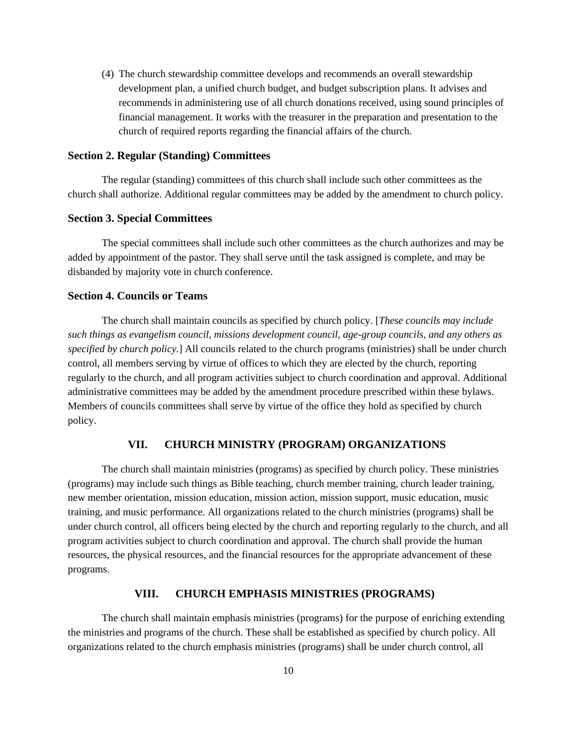(4) The church stewardship committee develops and recommends an overall stewardship development plan, a unified church budget, and budget subscription plans. It advises and recommends in administering use of all church donations received, using sound principles of financial management. It works with the treasurer in the preparation and presentation to the church of required reports regarding the financial affairs of the church.

# **Section 2. Regular (Standing) Committees**

The regular (standing) committees of this church shall include such other committees as the church shall authorize. Additional regular committees may be added by the amendment to church policy.

## **Section 3. Special Committees**

The special committees shall include such other committees as the church authorizes and may be added by appointment of the pastor. They shall serve until the task assigned is complete, and may be disbanded by majority vote in church conference.

# **Section 4. Councils or Teams**

The church shall maintain councils as specified by church policy. [*These councils may include such things as evangelism council, missions development council, age-group councils, and any others as specified by church policy.*] All councils related to the church programs (ministries) shall be under church control, all members serving by virtue of offices to which they are elected by the church, reporting regularly to the church, and all program activities subject to church coordination and approval. Additional administrative committees may be added by the amendment procedure prescribed within these bylaws. Members of councils committees shall serve by virtue of the office they hold as specified by church policy.

# **VII. CHURCH MINISTRY (PROGRAM) ORGANIZATIONS**

The church shall maintain ministries (programs) as specified by church policy. These ministries (programs) may include such things as Bible teaching, church member training, church leader training, new member orientation, mission education, mission action, mission support, music education, music training, and music performance. All organizations related to the church ministries (programs) shall be under church control, all officers being elected by the church and reporting regularly to the church, and all program activities subject to church coordination and approval. The church shall provide the human resources, the physical resources, and the financial resources for the appropriate advancement of these programs.

## **VIII. CHURCH EMPHASIS MINISTRIES (PROGRAMS)**

The church shall maintain emphasis ministries (programs) for the purpose of enriching extending the ministries and programs of the church. These shall be established as specified by church policy. All organizations related to the church emphasis ministries (programs) shall be under church control, all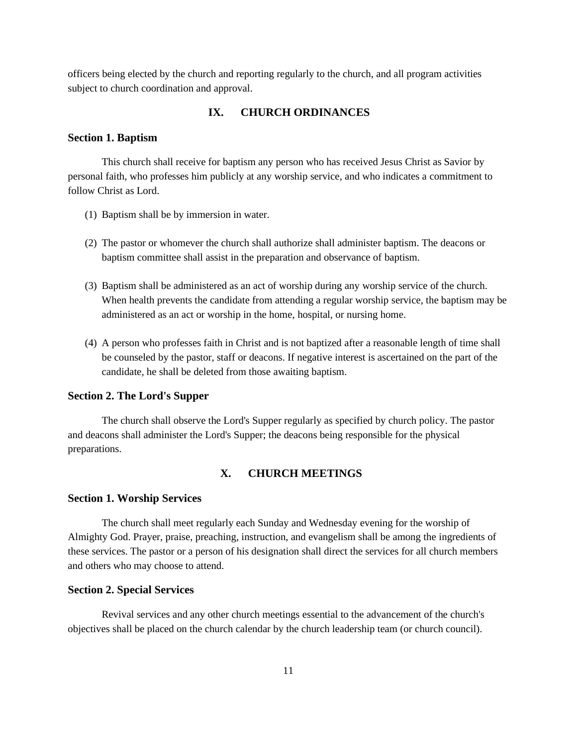officers being elected by the church and reporting regularly to the church, and all program activities subject to church coordination and approval.

# **IX. CHURCH ORDINANCES**

#### **Section 1. Baptism**

This church shall receive for baptism any person who has received Jesus Christ as Savior by personal faith, who professes him publicly at any worship service, and who indicates a commitment to follow Christ as Lord.

- (1) Baptism shall be by immersion in water.
- (2) The pastor or whomever the church shall authorize shall administer baptism. The deacons or baptism committee shall assist in the preparation and observance of baptism.
- (3) Baptism shall be administered as an act of worship during any worship service of the church. When health prevents the candidate from attending a regular worship service, the baptism may be administered as an act or worship in the home, hospital, or nursing home.
- (4) A person who professes faith in Christ and is not baptized after a reasonable length of time shall be counseled by the pastor, staff or deacons. If negative interest is ascertained on the part of the candidate, he shall be deleted from those awaiting baptism.

#### **Section 2. The Lord's Supper**

The church shall observe the Lord's Supper regularly as specified by church policy. The pastor and deacons shall administer the Lord's Supper; the deacons being responsible for the physical preparations.

# **X. CHURCH MEETINGS**

# **Section 1. Worship Services**

The church shall meet regularly each Sunday and Wednesday evening for the worship of Almighty God. Prayer, praise, preaching, instruction, and evangelism shall be among the ingredients of these services. The pastor or a person of his designation shall direct the services for all church members and others who may choose to attend.

# **Section 2. Special Services**

Revival services and any other church meetings essential to the advancement of the church's objectives shall be placed on the church calendar by the church leadership team (or church council).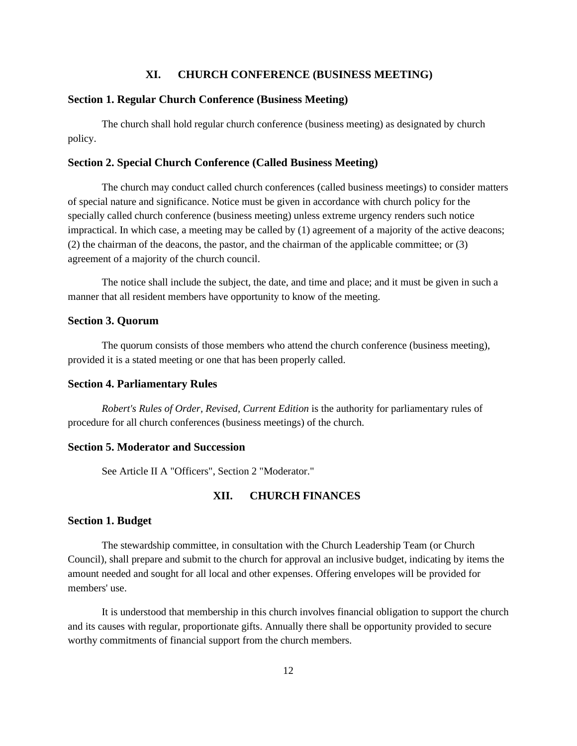# **XI. CHURCH CONFERENCE (BUSINESS MEETING)**

# **Section 1. Regular Church Conference (Business Meeting)**

The church shall hold regular church conference (business meeting) as designated by church policy.

# **Section 2. Special Church Conference (Called Business Meeting)**

The church may conduct called church conferences (called business meetings) to consider matters of special nature and significance. Notice must be given in accordance with church policy for the specially called church conference (business meeting) unless extreme urgency renders such notice impractical. In which case, a meeting may be called by (1) agreement of a majority of the active deacons; (2) the chairman of the deacons, the pastor, and the chairman of the applicable committee; or (3) agreement of a majority of the church council.

The notice shall include the subject, the date, and time and place; and it must be given in such a manner that all resident members have opportunity to know of the meeting.

# **Section 3. Quorum**

The quorum consists of those members who attend the church conference (business meeting), provided it is a stated meeting or one that has been properly called.

#### **Section 4. Parliamentary Rules**

*Robert's Rules of Order, Revised, Current Edition* is the authority for parliamentary rules of procedure for all church conferences (business meetings) of the church.

# **Section 5. Moderator and Succession**

See Article II A "Officers", Section 2 "Moderator."

# **XII. CHURCH FINANCES**

## **Section 1. Budget**

The stewardship committee, in consultation with the Church Leadership Team (or Church Council), shall prepare and submit to the church for approval an inclusive budget, indicating by items the amount needed and sought for all local and other expenses. Offering envelopes will be provided for members' use.

It is understood that membership in this church involves financial obligation to support the church and its causes with regular, proportionate gifts. Annually there shall be opportunity provided to secure worthy commitments of financial support from the church members.